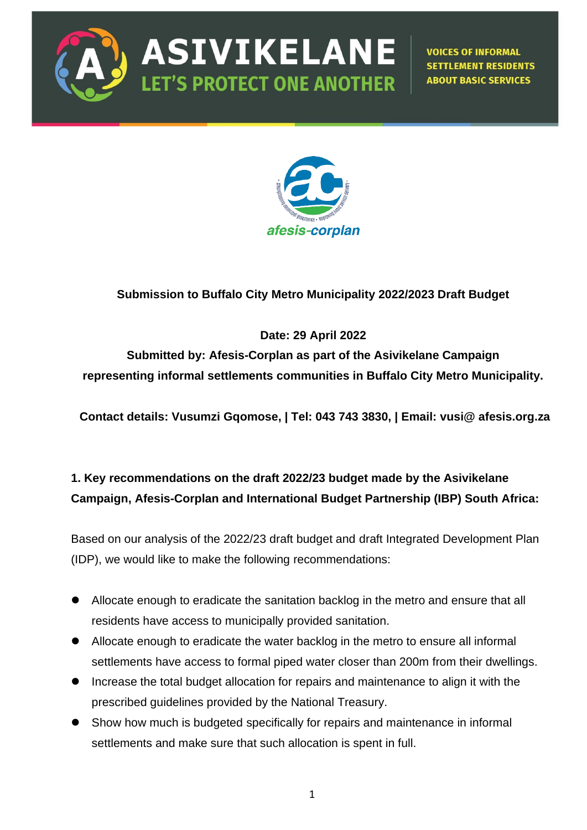

**ASIVIKELANE LET'S PROTECT ONE ANOTHER** 

**VOICES OF INFORMAL SETTLEMENT RESIDENTS ABOUT BASIC SERVICES** 



## **Submission to Buffalo City Metro Municipality 2022/2023 Draft Budget**

### **Date: 29 April 2022**

**Submitted by: Afesis-Corplan as part of the Asivikelane Campaign representing informal settlements communities in Buffalo City Metro Municipality.** 

**Contact details: Vusumzi Gqomose, | Tel: 043 743 3830, | Email: vusi@ afesis.org.za**

## **1. Key recommendations on the draft 2022/23 budget made by the Asivikelane Campaign, Afesis-Corplan and International Budget Partnership (IBP) South Africa:**

Based on our analysis of the 2022/23 draft budget and draft Integrated Development Plan (IDP), we would like to make the following recommendations:

- ⚫ Allocate enough to eradicate the sanitation backlog in the metro and ensure that all residents have access to municipally provided sanitation.
- ⚫ Allocate enough to eradicate the water backlog in the metro to ensure all informal settlements have access to formal piped water closer than 200m from their dwellings.
- Increase the total budget allocation for repairs and maintenance to align it with the prescribed guidelines provided by the National Treasury.
- Show how much is budgeted specifically for repairs and maintenance in informal settlements and make sure that such allocation is spent in full.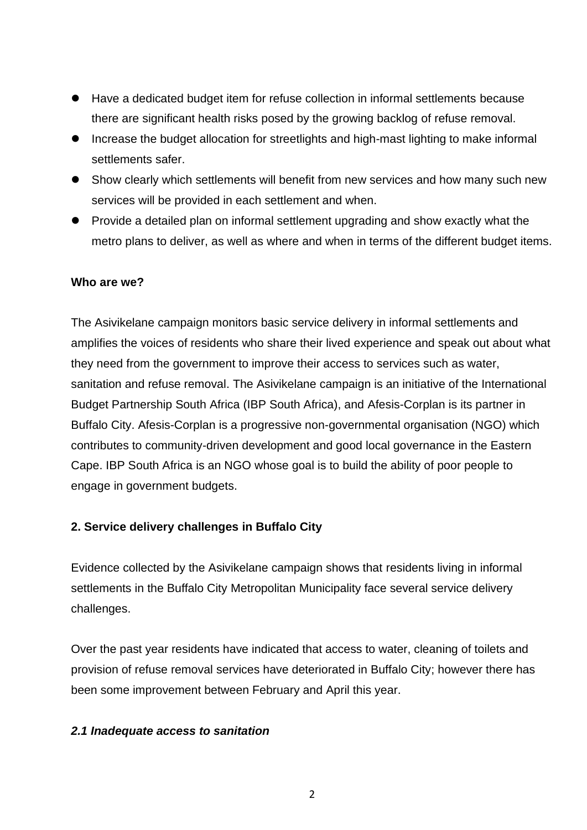- Have a dedicated budget item for refuse collection in informal settlements because there are significant health risks posed by the growing backlog of refuse removal.
- ⚫ Increase the budget allocation for streetlights and high-mast lighting to make informal settlements safer.
- Show clearly which settlements will benefit from new services and how many such new services will be provided in each settlement and when.
- Provide a detailed plan on informal settlement upgrading and show exactly what the metro plans to deliver, as well as where and when in terms of the different budget items.

#### **Who are we?**

The Asivikelane campaign monitors basic service delivery in informal settlements and amplifies the voices of residents who share their lived experience and speak out about what they need from the government to improve their access to services such as water, sanitation and refuse removal. The Asivikelane campaign is an initiative of the International Budget Partnership South Africa (IBP South Africa), and Afesis-Corplan is its partner in Buffalo City. Afesis-Corplan is a progressive non-governmental organisation (NGO) which contributes to community-driven development and good local governance in the Eastern Cape. IBP South Africa is an NGO whose goal is to build the ability of poor people to engage in government budgets.

#### **2. Service delivery challenges in Buffalo City**

Evidence collected by the Asivikelane campaign shows that residents living in informal settlements in the Buffalo City Metropolitan Municipality face several service delivery challenges.

Over the past year residents have indicated that access to water, cleaning of toilets and provision of refuse removal services have deteriorated in Buffalo City; however there has been some improvement between February and April this year.

#### *2.1 Inadequate access to sanitation*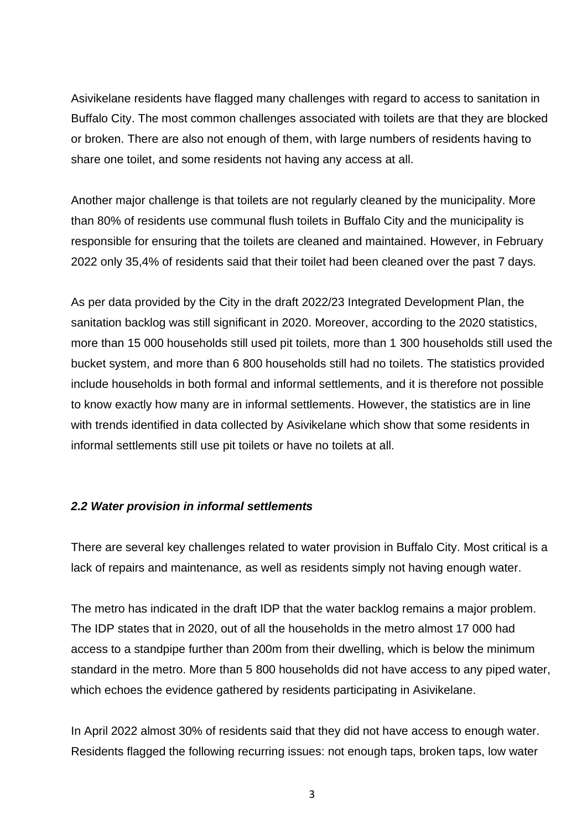Asivikelane residents have flagged many challenges with regard to access to sanitation in Buffalo City. The most common challenges associated with toilets are that they are blocked or broken. There are also not enough of them, with large numbers of residents having to share one toilet, and some residents not having any access at all.

Another major challenge is that toilets are not regularly cleaned by the municipality. More than 80% of residents use communal flush toilets in Buffalo City and the municipality is responsible for ensuring that the toilets are cleaned and maintained. However, in February 2022 only 35,4% of residents said that their toilet had been cleaned over the past 7 days.

As per data provided by the City in the draft 2022/23 Integrated Development Plan, the sanitation backlog was still significant in 2020. Moreover, according to the 2020 statistics, more than 15 000 households still used pit toilets, more than 1 300 households still used the bucket system, and more than 6 800 households still had no toilets. The statistics provided include households in both formal and informal settlements, and it is therefore not possible to know exactly how many are in informal settlements. However, the statistics are in line with trends identified in data collected by Asivikelane which show that some residents in informal settlements still use pit toilets or have no toilets at all.

#### *2.2 Water provision in informal settlements*

There are several key challenges related to water provision in Buffalo City. Most critical is a lack of repairs and maintenance, as well as residents simply not having enough water.

The metro has indicated in the draft IDP that the water backlog remains a major problem. The IDP states that in 2020, out of all the households in the metro almost 17 000 had access to a standpipe further than 200m from their dwelling, which is below the minimum standard in the metro. More than 5 800 households did not have access to any piped water, which echoes the evidence gathered by residents participating in Asivikelane.

In April 2022 almost 30% of residents said that they did not have access to enough water. Residents flagged the following recurring issues: not enough taps, broken taps, low water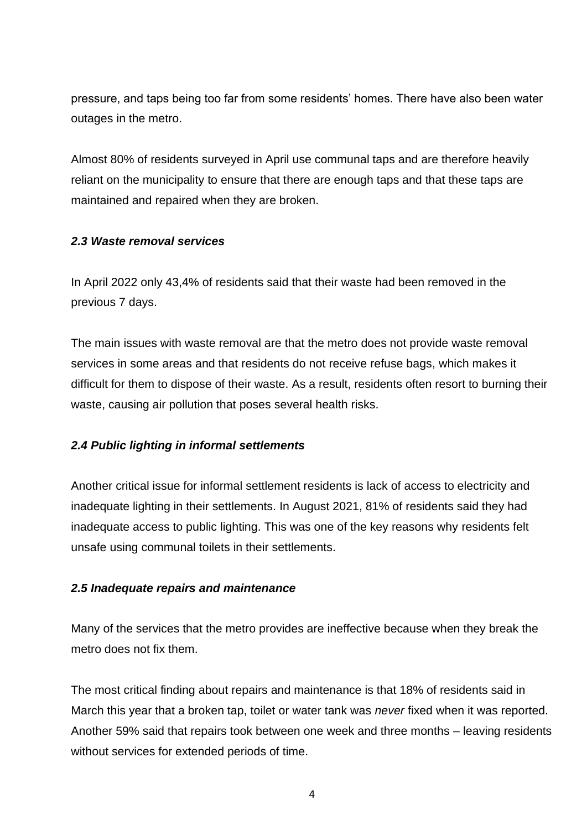pressure, and taps being too far from some residents' homes. There have also been water outages in the metro.

Almost 80% of residents surveyed in April use communal taps and are therefore heavily reliant on the municipality to ensure that there are enough taps and that these taps are maintained and repaired when they are broken.

#### *2.3 Waste removal services*

In April 2022 only 43,4% of residents said that their waste had been removed in the previous 7 days.

The main issues with waste removal are that the metro does not provide waste removal services in some areas and that residents do not receive refuse bags, which makes it difficult for them to dispose of their waste. As a result, residents often resort to burning their waste, causing air pollution that poses several health risks.

#### *2.4 Public lighting in informal settlements*

Another critical issue for informal settlement residents is lack of access to electricity and inadequate lighting in their settlements. In August 2021, 81% of residents said they had inadequate access to public lighting. This was one of the key reasons why residents felt unsafe using communal toilets in their settlements.

#### *2.5 Inadequate repairs and maintenance*

Many of the services that the metro provides are ineffective because when they break the metro does not fix them.

The most critical finding about repairs and maintenance is that 18% of residents said in March this year that a broken tap, toilet or water tank was *never* fixed when it was reported. Another 59% said that repairs took between one week and three months – leaving residents without services for extended periods of time.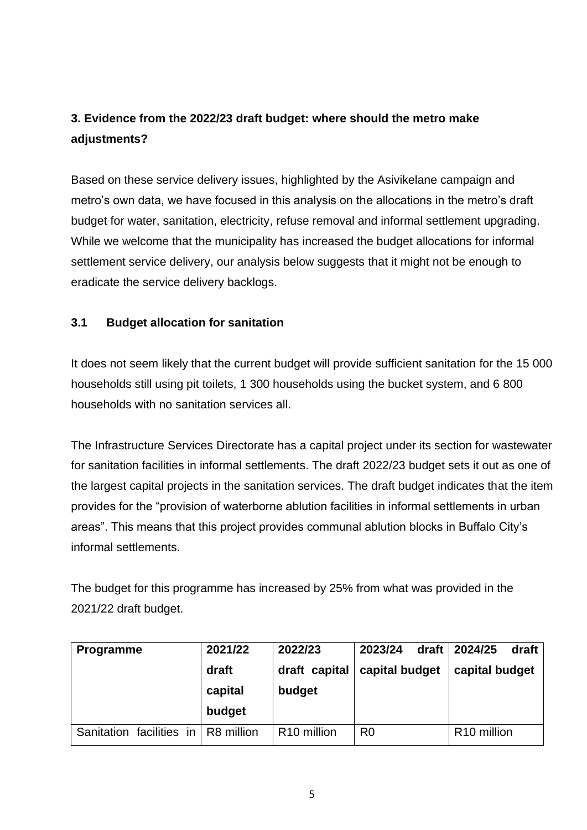# **3. Evidence from the 2022/23 draft budget: where should the metro make adjustments?**

Based on these service delivery issues, highlighted by the Asivikelane campaign and metro's own data, we have focused in this analysis on the allocations in the metro's draft budget for water, sanitation, electricity, refuse removal and informal settlement upgrading. While we welcome that the municipality has increased the budget allocations for informal settlement service delivery, our analysis below suggests that it might not be enough to eradicate the service delivery backlogs.

### **3.1 Budget allocation for sanitation**

It does not seem likely that the current budget will provide sufficient sanitation for the 15 000 households still using pit toilets, 1 300 households using the bucket system, and 6 800 households with no sanitation services all.

The Infrastructure Services Directorate has a capital project under its section for wastewater for sanitation facilities in informal settlements. The draft 2022/23 budget sets it out as one of the largest capital projects in the sanitation services. The draft budget indicates that the item provides for the "provision of waterborne ablution facilities in informal settlements in urban areas". This means that this project provides communal ablution blocks in Buffalo City's informal settlements.

The budget for this programme has increased by 25% from what was provided in the 2021/22 draft budget.

| Programme                             | 2021/22 | 2022/23                 | draft<br>2023/24 | 2024/25<br>draft        |
|---------------------------------------|---------|-------------------------|------------------|-------------------------|
|                                       | draft   | draft capital           | capital budget   | capital budget          |
|                                       | capital | budget                  |                  |                         |
|                                       | budget  |                         |                  |                         |
| Sanitation facilities in   R8 million |         | R <sub>10</sub> million | R <sub>0</sub>   | R <sub>10</sub> million |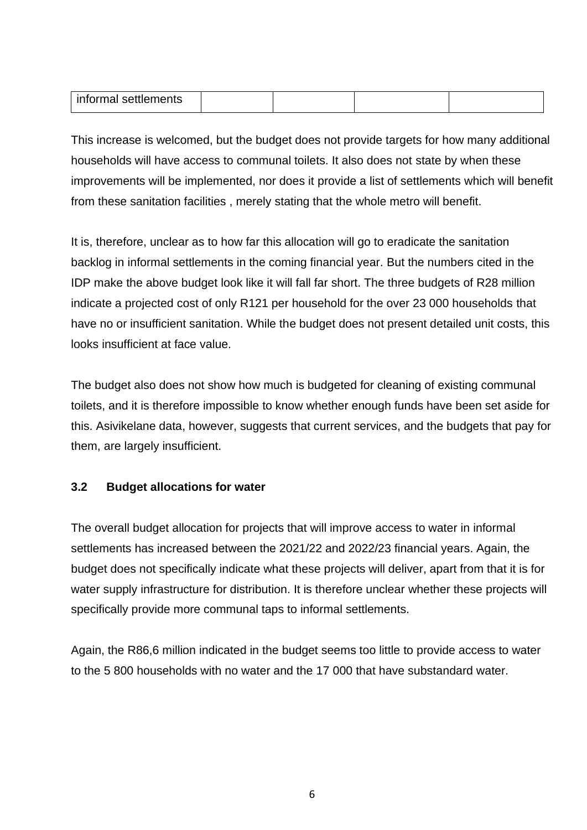| $  -$<br>-int<br>.<br>,,,,,,,,, |  |  |
|---------------------------------|--|--|
|                                 |  |  |

This increase is welcomed, but the budget does not provide targets for how many additional households will have access to communal toilets. It also does not state by when these improvements will be implemented, nor does it provide a list of settlements which will benefit from these sanitation facilities , merely stating that the whole metro will benefit.

It is, therefore, unclear as to how far this allocation will go to eradicate the sanitation backlog in informal settlements in the coming financial year. But the numbers cited in the IDP make the above budget look like it will fall far short. The three budgets of R28 million indicate a projected cost of only R121 per household for the over 23 000 households that have no or insufficient sanitation. While the budget does not present detailed unit costs, this looks insufficient at face value.

The budget also does not show how much is budgeted for cleaning of existing communal toilets, and it is therefore impossible to know whether enough funds have been set aside for this. Asivikelane data, however, suggests that current services, and the budgets that pay for them, are largely insufficient.

#### **3.2 Budget allocations for water**

The overall budget allocation for projects that will improve access to water in informal settlements has increased between the 2021/22 and 2022/23 financial years. Again, the budget does not specifically indicate what these projects will deliver, apart from that it is for water supply infrastructure for distribution. It is therefore unclear whether these projects will specifically provide more communal taps to informal settlements.

Again, the R86,6 million indicated in the budget seems too little to provide access to water to the 5 800 households with no water and the 17 000 that have substandard water.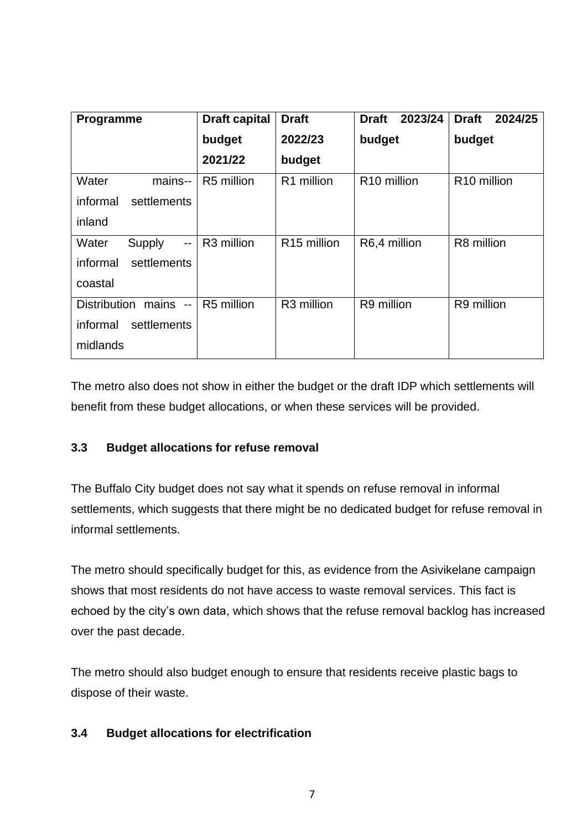| Programme                                     | <b>Draft capital</b>   | <b>Draft</b>            | 2023/24<br><b>Draft</b> | <b>Draft</b><br>2024/25 |
|-----------------------------------------------|------------------------|-------------------------|-------------------------|-------------------------|
|                                               | budget                 | 2022/23                 | budget                  | budget                  |
|                                               | 2021/22                | budget                  |                         |                         |
| Water<br>mains--                              | R5 million             | R <sub>1</sub> million  | R <sub>10</sub> million | R <sub>10</sub> million |
| informal<br>settlements                       |                        |                         |                         |                         |
| inland                                        |                        |                         |                         |                         |
| Water<br>Supply<br>$\overline{a}$             | R <sub>3</sub> million | R <sub>15</sub> million | R6,4 million            | R8 million              |
| settlements<br>informal                       |                        |                         |                         |                         |
| coastal                                       |                        |                         |                         |                         |
| <b>Distribution</b><br>mains<br>$\sim$ $\sim$ | R5 million             | R3 million              | R9 million              | R9 million              |
| informal<br>settlements                       |                        |                         |                         |                         |
| midlands                                      |                        |                         |                         |                         |

The metro also does not show in either the budget or the draft IDP which settlements will benefit from these budget allocations, or when these services will be provided.

## **3.3 Budget allocations for refuse removal**

The Buffalo City budget does not say what it spends on refuse removal in informal settlements, which suggests that there might be no dedicated budget for refuse removal in informal settlements.

The metro should specifically budget for this, as evidence from the Asivikelane campaign shows that most residents do not have access to waste removal services. This fact is echoed by the city's own data, which shows that the refuse removal backlog has increased over the past decade.

The metro should also budget enough to ensure that residents receive plastic bags to dispose of their waste.

## **3.4 Budget allocations for electrification**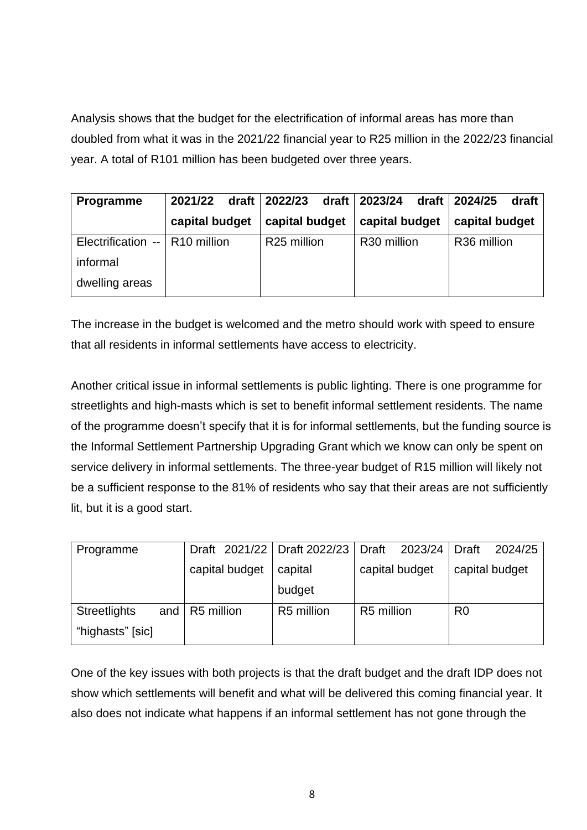Analysis shows that the budget for the electrification of informal areas has more than doubled from what it was in the 2021/22 financial year to R25 million in the 2022/23 financial year. A total of R101 million has been budgeted over three years.

| Programme                        | 2021/22        | draft   2022/23         | draft   2023/24         | draft   2024/25<br>draft |
|----------------------------------|----------------|-------------------------|-------------------------|--------------------------|
|                                  | capital budget | capital budget          | capital budget          | capital budget           |
| Electrification --   R10 million |                | R <sub>25</sub> million | R <sub>30</sub> million | R <sub>36</sub> million  |
| informal                         |                |                         |                         |                          |
| dwelling areas                   |                |                         |                         |                          |

The increase in the budget is welcomed and the metro should work with speed to ensure that all residents in informal settlements have access to electricity.

Another critical issue in informal settlements is public lighting. There is one programme for streetlights and high-masts which is set to benefit informal settlement residents. The name of the programme doesn't specify that it is for informal settlements, but the funding source is the Informal Settlement Partnership Upgrading Grant which we know can only be spent on service delivery in informal settlements. The three-year budget of R15 million will likely not be a sufficient response to the 81% of residents who say that their areas are not sufficiently lit, but it is a good start.

| Programme                  | Draft 2021/22   Draft 2022/23 |            | Draft<br>2023/24 | Draft<br>2024/25 |
|----------------------------|-------------------------------|------------|------------------|------------------|
|                            | capital budget                | capital    | capital budget   | capital budget   |
|                            |                               | budget     |                  |                  |
| <b>Streetlights</b><br>and | R5 million                    | R5 million | R5 million       | R <sub>0</sub>   |
| "highasts" [sic]           |                               |            |                  |                  |

One of the key issues with both projects is that the draft budget and the draft IDP does not show which settlements will benefit and what will be delivered this coming financial year. It also does not indicate what happens if an informal settlement has not gone through the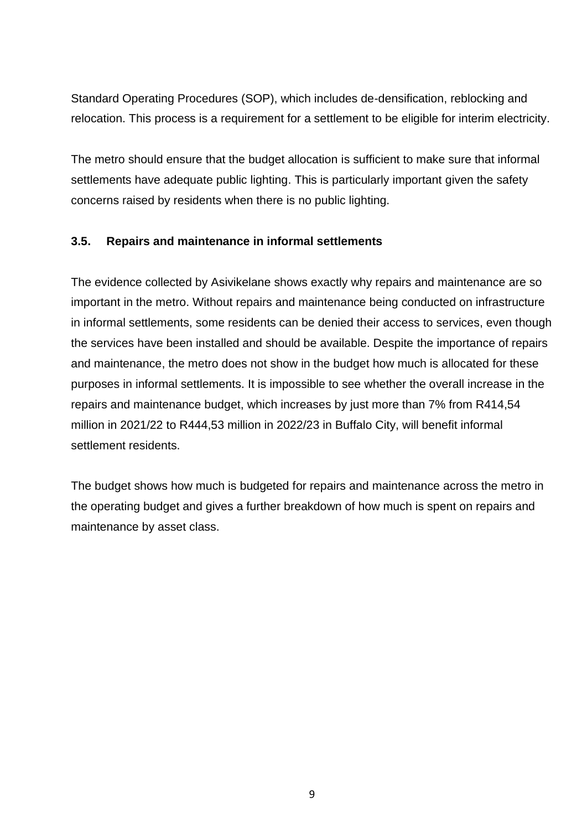Standard Operating Procedures (SOP), which includes de-densification, reblocking and relocation. This process is a requirement for a settlement to be eligible for interim electricity.

The metro should ensure that the budget allocation is sufficient to make sure that informal settlements have adequate public lighting. This is particularly important given the safety concerns raised by residents when there is no public lighting.

#### **3.5. Repairs and maintenance in informal settlements**

The evidence collected by Asivikelane shows exactly why repairs and maintenance are so important in the metro. Without repairs and maintenance being conducted on infrastructure in informal settlements, some residents can be denied their access to services, even though the services have been installed and should be available. Despite the importance of repairs and maintenance, the metro does not show in the budget how much is allocated for these purposes in informal settlements. It is impossible to see whether the overall increase in the repairs and maintenance budget, which increases by just more than 7% from R414,54 million in 2021/22 to R444,53 million in 2022/23 in Buffalo City, will benefit informal settlement residents.

The budget shows how much is budgeted for repairs and maintenance across the metro in the operating budget and gives a further breakdown of how much is spent on repairs and maintenance by asset class.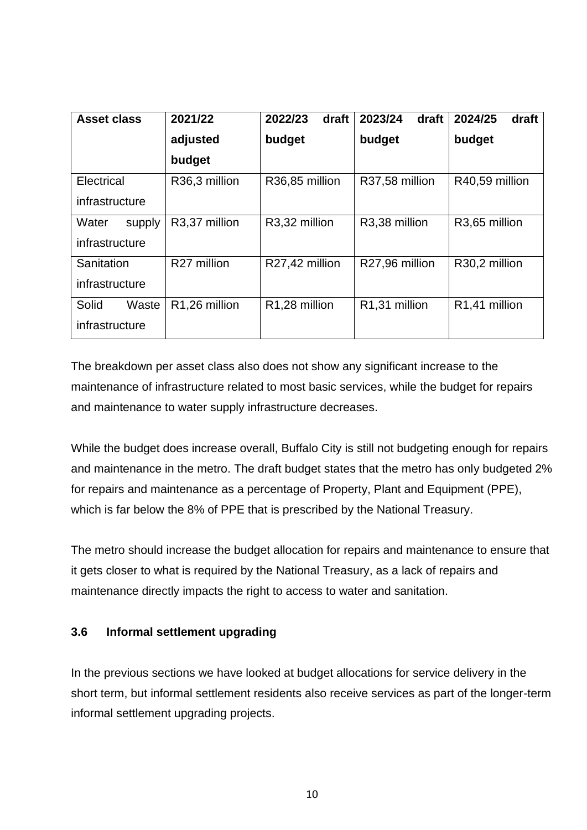| <b>Asset class</b> | 2021/22       | 2022/23<br>draft | 2023/24<br>draft           | 2024/25<br>draft           |
|--------------------|---------------|------------------|----------------------------|----------------------------|
|                    | adjusted      | budget           | budget                     | budget                     |
|                    | budget        |                  |                            |                            |
| Electrical         | R36,3 million | R36,85 million   | R37,58 million             | R40,59 million             |
| infrastructure     |               |                  |                            |                            |
| Water<br>supply    | R3,37 million | R3,32 million    | R3,38 million              | R3,65 million              |
| infrastructure     |               |                  |                            |                            |
| Sanitation         | R27 million   | R27,42 million   | R27,96 million             | R30,2 million              |
| infrastructure     |               |                  |                            |                            |
| Solid<br>Waste     | R1,26 million | R1,28 million    | R <sub>1</sub> ,31 million | R <sub>1</sub> ,41 million |
| infrastructure     |               |                  |                            |                            |

The breakdown per asset class also does not show any significant increase to the maintenance of infrastructure related to most basic services, while the budget for repairs and maintenance to water supply infrastructure decreases.

While the budget does increase overall, Buffalo City is still not budgeting enough for repairs and maintenance in the metro. The draft budget states that the metro has only budgeted 2% for repairs and maintenance as a percentage of Property, Plant and Equipment (PPE), which is far below the 8% of PPE that is prescribed by the National Treasury.

The metro should increase the budget allocation for repairs and maintenance to ensure that it gets closer to what is required by the National Treasury, as a lack of repairs and maintenance directly impacts the right to access to water and sanitation.

#### **3.6 Informal settlement upgrading**

In the previous sections we have looked at budget allocations for service delivery in the short term, but informal settlement residents also receive services as part of the longer-term informal settlement upgrading projects.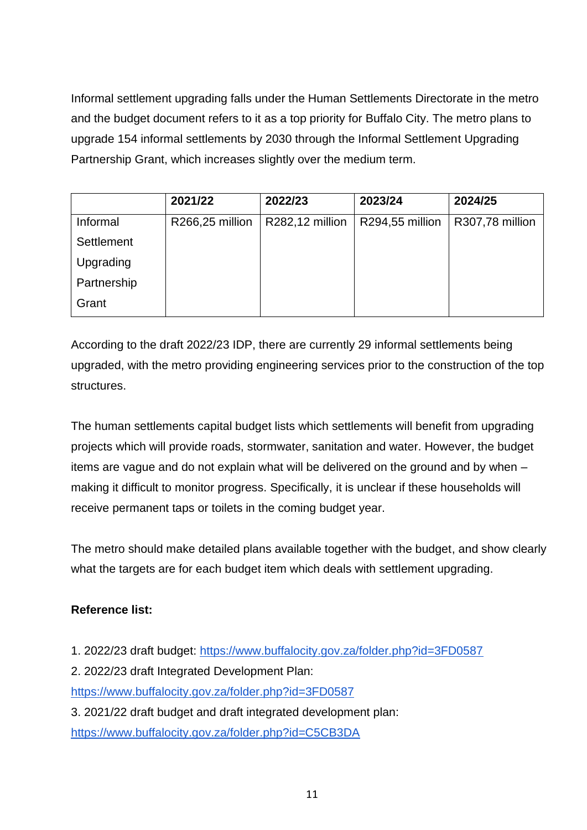Informal settlement upgrading falls under the Human Settlements Directorate in the metro and the budget document refers to it as a top priority for Buffalo City. The metro plans to upgrade 154 informal settlements by 2030 through the Informal Settlement Upgrading Partnership Grant, which increases slightly over the medium term.

|             | 2021/22         | 2022/23         | 2023/24         | 2024/25         |
|-------------|-----------------|-----------------|-----------------|-----------------|
| Informal    | R266,25 million | R282,12 million | R294,55 million | R307,78 million |
| Settlement  |                 |                 |                 |                 |
| Upgrading   |                 |                 |                 |                 |
| Partnership |                 |                 |                 |                 |
| Grant       |                 |                 |                 |                 |

According to the draft 2022/23 IDP, there are currently 29 informal settlements being upgraded, with the metro providing engineering services prior to the construction of the top structures.

The human settlements capital budget lists which settlements will benefit from upgrading projects which will provide roads, stormwater, sanitation and water. However, the budget items are vague and do not explain what will be delivered on the ground and by when – making it difficult to monitor progress. Specifically, it is unclear if these households will receive permanent taps or toilets in the coming budget year.

The metro should make detailed plans available together with the budget, and show clearly what the targets are for each budget item which deals with settlement upgrading.

## **Reference list:**

- 1. 2022/23 draft budget:<https://www.buffalocity.gov.za/folder.php?id=3FD0587>
- 2. 2022/23 draft Integrated Development Plan:

<https://www.buffalocity.gov.za/folder.php?id=3FD0587>

3. 2021/22 draft budget and draft integrated development plan: <https://www.buffalocity.gov.za/folder.php?id=C5CB3DA>